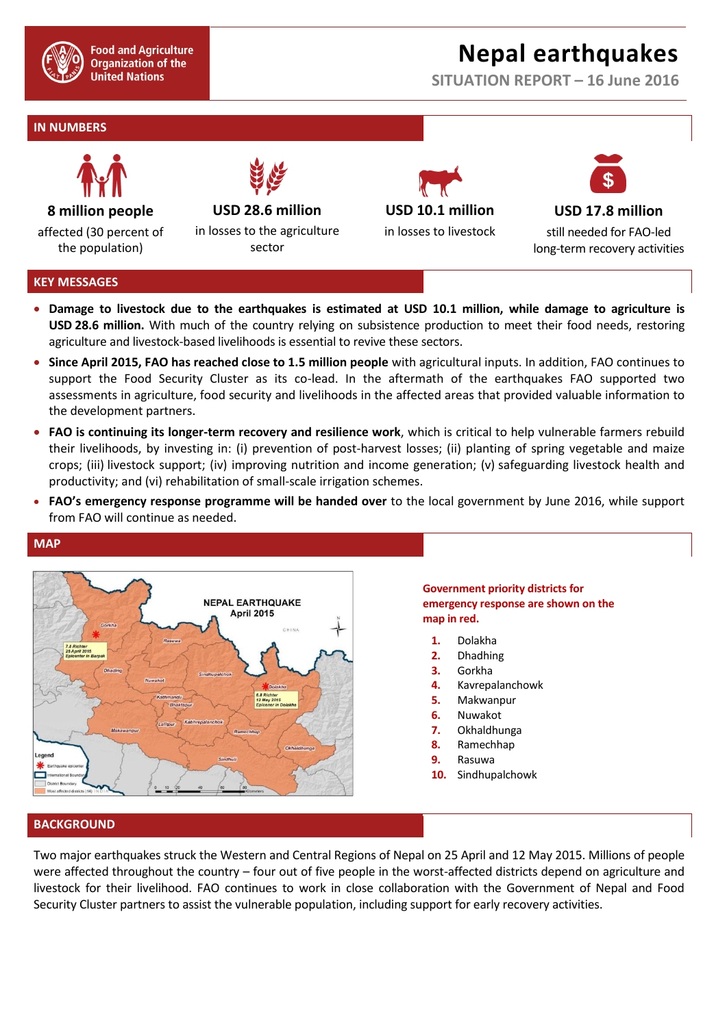

**Food and Agriculture Organization of the United Nations** 

# **Nepal earthquakes**

**SITUATION REPORT – 16 June 2016**

# **IN NUMBERS**



affected (30 percent of the population)

**USD 28.6 million**

in losses to the agriculture sector





still needed for FAO-led long-term recovery activities

## **KEY MESSAGES**

**MAP**

- **Damage to livestock due to the earthquakes is estimated at USD 10.1 million, while damage to agriculture is USD 28.6 million.** With much of the country relying on subsistence production to meet their food needs, restoring agriculture and livestock-based livelihoods is essential to revive these sectors.
- **Since April 2015, FAO has reached close to 1.5 million people** with agricultural inputs. In addition, FAO continues to support the Food Security Cluster as its co-lead. In the aftermath of the earthquakes FAO supported two assessments in agriculture, food security and livelihoods in the affected areas that provided valuable information to the development partners.
- **FAO is continuing its longer-term recovery and resilience work**, which is critical to help vulnerable farmers rebuild their livelihoods, by investing in: (i) prevention of post-harvest losses; (ii) planting of spring vegetable and maize crops; (iii) livestock support; (iv) improving nutrition and income generation; (v) safeguarding livestock health and productivity; and (vi) rehabilitation of small-scale irrigation schemes.
- **FAO's emergency response programme will be handed over** to the local government by June 2016, while support from FAO will continue as needed.



# **Government priority districts for emergency response are shown on the map in red.**

- **1.** Dolakha
- **2.** Dhadhing
- **3.** Gorkha
- **4.** Kavrepalanchowk
- **5.** Makwanpur
- **6.** Nuwakot
- **7.** Okhaldhunga
- **8.** Ramechhap
- **9.** Rasuwa
- **10.** Sindhupalchowk

# **BACKGROUND**

Two major earthquakes struck the Western and Central Regions of Nepal on 25 April and 12 May 2015. Millions of people were affected throughout the country – four out of five people in the worst-affected districts depend on agriculture and livestock for their livelihood. FAO continues to work in close collaboration with the Government of Nepal and Food Security Cluster partners to assist the vulnerable population, including support for early recovery activities.